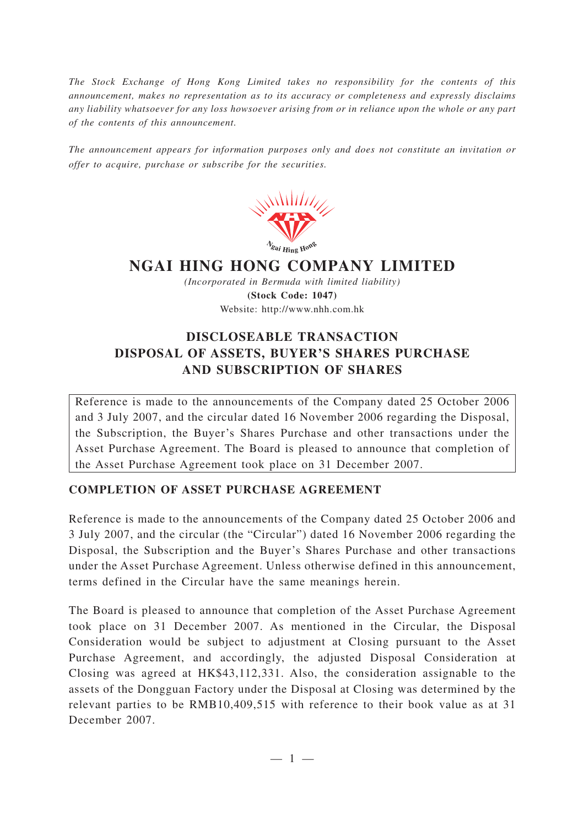*The Stock Exchange of Hong Kong Limited takes no responsibility for the contents of this announcement, makes no representation as to its accuracy or completeness and expressly disclaims any liability whatsoever for any loss howsoever arising from or in reliance upon the whole or any part of the contents of this announcement.*

*The announcement appears for information purposes only and does not constitute an invitation or offer to acquire, purchase or subscribe for the securities.*



## **NGAI HING HONG COMPANY LIMITED**

*(Incorporated in Bermuda with limited liability)* **(Stock Code: 1047)** Website: http://www.nhh.com.hk

## **DISCLOSEABLE TRANSACTION DISPOSAL OF ASSETS, BUYER'S SHARES PURCHASE AND SUBSCRIPTION OF SHARES**

Reference is made to the announcements of the Company dated 25 October 2006 and 3 July 2007, and the circular dated 16 November 2006 regarding the Disposal, the Subscription, the Buyer's Shares Purchase and other transactions under the Asset Purchase Agreement. The Board is pleased to announce that completion of the Asset Purchase Agreement took place on 31 December 2007.

## **COMPLETION OF ASSET PURCHASE AGREEMENT**

Reference is made to the announcements of the Company dated 25 October 2006 and 3 July 2007, and the circular (the "Circular") dated 16 November 2006 regarding the Disposal, the Subscription and the Buyer's Shares Purchase and other transactions under the Asset Purchase Agreement. Unless otherwise defined in this announcement, terms defined in the Circular have the same meanings herein.

The Board is pleased to announce that completion of the Asset Purchase Agreement took place on 31 December 2007. As mentioned in the Circular, the Disposal Consideration would be subject to adjustment at Closing pursuant to the Asset Purchase Agreement, and accordingly, the adjusted Disposal Consideration at Closing was agreed at HK\$43,112,331. Also, the consideration assignable to the assets of the Dongguan Factory under the Disposal at Closing was determined by the relevant parties to be RMB10,409,515 with reference to their book value as at 31 December 2007.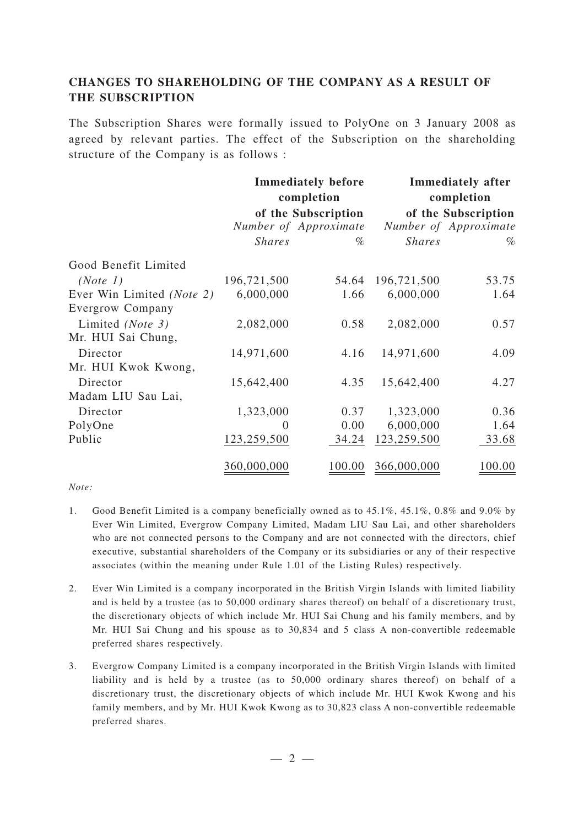## **CHANGES TO SHAREHOLDING OF THE COMPANY AS A RESULT OF THE SUBSCRIPTION**

The Subscription Shares were formally issued to PolyOne on 3 January 2008 as agreed by relevant parties. The effect of the Subscription on the shareholding structure of the Company is as follows :

|                           | <b>Immediately before</b><br>completion<br>of the Subscription |                       | <b>Immediately after</b><br>completion<br>of the Subscription |                       |
|---------------------------|----------------------------------------------------------------|-----------------------|---------------------------------------------------------------|-----------------------|
|                           |                                                                |                       |                                                               |                       |
|                           |                                                                | Number of Approximate |                                                               | Number of Approximate |
|                           | <b>Shares</b>                                                  | $\%$                  | <b>Shares</b>                                                 | $\%$                  |
| Good Benefit Limited      |                                                                |                       |                                                               |                       |
| (Note 1)                  | 196,721,500                                                    | 54.64                 | 196,721,500                                                   | 53.75                 |
| Ever Win Limited (Note 2) | 6,000,000                                                      | 1.66                  | 6,000,000                                                     | 1.64                  |
| Evergrow Company          |                                                                |                       |                                                               |                       |
| Limited (Note 3)          | 2,082,000                                                      | 0.58                  | 2,082,000                                                     | 0.57                  |
| Mr. HUI Sai Chung,        |                                                                |                       |                                                               |                       |
| Director                  | 14,971,600                                                     | 4.16                  | 14,971,600                                                    | 4.09                  |
| Mr. HUI Kwok Kwong,       |                                                                |                       |                                                               |                       |
| Director                  | 15,642,400                                                     | 4.35                  | 15,642,400                                                    | 4.27                  |
| Madam LIU Sau Lai,        |                                                                |                       |                                                               |                       |
| Director                  | 1,323,000                                                      | 0.37                  | 1,323,000                                                     | 0.36                  |
| PolyOne                   | $\Omega$                                                       | 0.00                  | 6,000,000                                                     | 1.64                  |
| Public                    | 123,259,500                                                    | 34.24                 | 123,259,500                                                   | 33.68                 |
|                           |                                                                |                       |                                                               |                       |
|                           | 360,000,000                                                    | 100.00                | 366,000,000                                                   | 100.00                |

*Note:*

- 1. Good Benefit Limited is a company beneficially owned as to 45.1%, 45.1%, 0.8% and 9.0% by Ever Win Limited, Evergrow Company Limited, Madam LIU Sau Lai, and other shareholders who are not connected persons to the Company and are not connected with the directors, chief executive, substantial shareholders of the Company or its subsidiaries or any of their respective associates (within the meaning under Rule 1.01 of the Listing Rules) respectively.
- 2. Ever Win Limited is a company incorporated in the British Virgin Islands with limited liability and is held by a trustee (as to 50,000 ordinary shares thereof) on behalf of a discretionary trust, the discretionary objects of which include Mr. HUI Sai Chung and his family members, and by Mr. HUI Sai Chung and his spouse as to 30,834 and 5 class A non-convertible redeemable preferred shares respectively.
- 3. Evergrow Company Limited is a company incorporated in the British Virgin Islands with limited liability and is held by a trustee (as to 50,000 ordinary shares thereof) on behalf of a discretionary trust, the discretionary objects of which include Mr. HUI Kwok Kwong and his family members, and by Mr. HUI Kwok Kwong as to 30,823 class A non-convertible redeemable preferred shares.